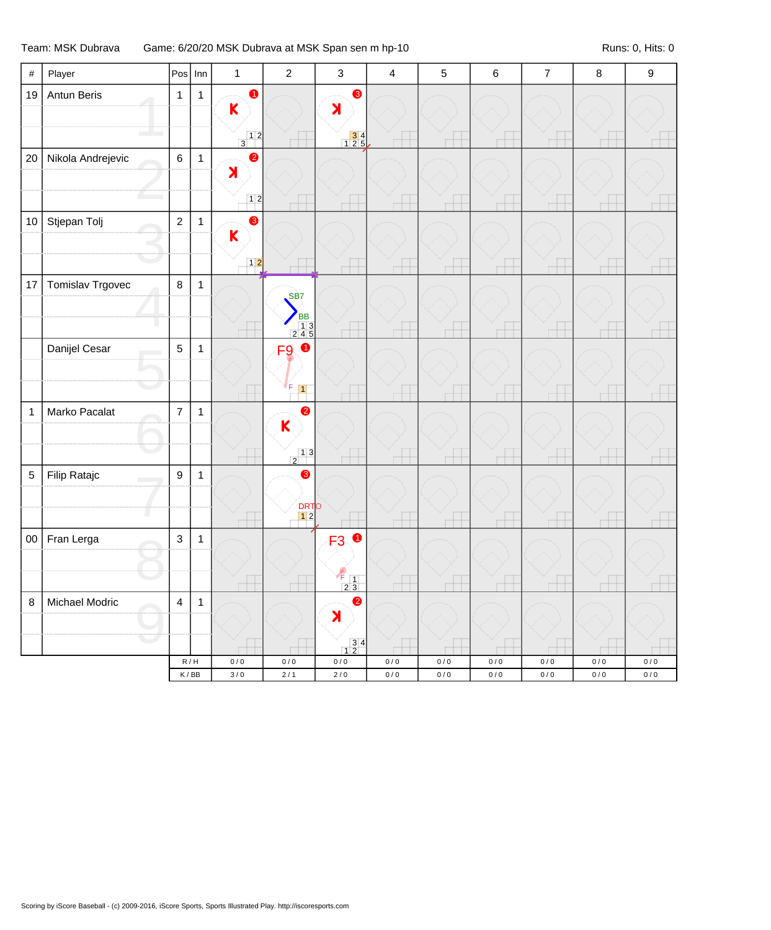## Team: MSK Dubrava Game: 6/20/20 MSK Dubrava at MSK Span sen m hp-10 Runs: 0, Hits: 0

| $\#$        | Player            |                         | $Pos$ Inn                            | $\mathbf{1}$                                             | $\sqrt{2}$                                               | $\mathsf 3$                                                                  | $\overline{\mathbf{4}}$ | $\sqrt{5}$ | $\,6\,$   | $\overline{7}$ | $\bf 8$   | $\boldsymbol{9}$ |
|-------------|-------------------|-------------------------|--------------------------------------|----------------------------------------------------------|----------------------------------------------------------|------------------------------------------------------------------------------|-------------------------|------------|-----------|----------------|-----------|------------------|
| 19          | Antun Beris       | $\mathbf{1}$            | $\mathbf{1}$                         | $\bullet$<br>$\mathsf{K}$                                |                                                          | $\bullet$<br>$\blacktriangleright$                                           |                         |            |           |                |           |                  |
|             |                   |                         |                                      | $\begin{array}{c c} & 1 & 2 \\ \hline 3 & & \end{array}$ |                                                          | $\begin{array}{ c c }\n \hline\n 3 & 4 \\  \hline\n 1 & 2 & 5\n \end{array}$ |                         |            |           |                |           |                  |
| 20          | Nikola Andrejevic | $\,6\,$                 | $\overline{1}$                       | $\bullet$<br>$\blacktriangleright$                       |                                                          |                                                                              |                         |            |           |                |           |                  |
|             |                   |                         |                                      | 12                                                       |                                                          |                                                                              |                         |            |           |                |           |                  |
| $10$        | Stjepan Tolj      | $\overline{2}$          | $\mathbf{1}$                         | $\bullet$<br>$\mathsf{K}$                                |                                                          |                                                                              |                         |            |           |                |           |                  |
|             |                   |                         |                                      | $12$                                                     |                                                          |                                                                              |                         |            |           |                |           |                  |
| 17          | Tomislav Trgovec  | $\,8\,$                 | $\overline{1}$                       |                                                          | SB <sub>7</sub><br><b>BB</b>                             |                                                                              |                         |            |           |                |           |                  |
|             |                   |                         |                                      |                                                          | $\begin{array}{r} 13 \\ 245 \end{array}$                 |                                                                              |                         |            |           |                |           |                  |
|             | Danijel Cesar     | $\overline{5}$          | $\mathbf{1}$                         |                                                          | $\bullet$<br>F <sub>9</sub><br>F                         |                                                                              |                         |            |           |                |           |                  |
|             |                   |                         |                                      |                                                          | $\vert$ 1                                                |                                                                              |                         |            |           |                |           |                  |
| $\mathbf 1$ | Marko Pacalat     | $\overline{7}$          | $\mathbf{1}$                         |                                                          | $\bullet$<br>K                                           |                                                                              |                         |            |           |                |           |                  |
|             |                   |                         |                                      |                                                          | $\begin{array}{c c} & 1 & 3 \\ \hline 2 & & \end{array}$ |                                                                              |                         |            |           |                |           |                  |
| 5           | Filip Ratajc      | $\boldsymbol{9}$        | $\mathbf{1}$                         |                                                          | ❸<br><b>DRTO</b><br>12                                   |                                                                              |                         |            |           |                |           |                  |
| $00\,$      | Fran Lerga        | $\mathfrak{S}$          | $\mathbf{1}$                         |                                                          |                                                          | <b>F30</b>                                                                   |                         |            |           |                |           |                  |
|             |                   |                         |                                      |                                                          |                                                          |                                                                              |                         |            |           |                |           |                  |
|             |                   |                         |                                      |                                                          |                                                          | $F_{1}$<br>23                                                                |                         |            |           |                |           |                  |
| $\bf8$      | Michael Modric    | $\overline{\mathbf{4}}$ | $\mathbf{1}$                         |                                                          |                                                          | $\bullet$<br>$\blacktriangleright$                                           |                         |            |           |                |           |                  |
|             |                   |                         |                                      |                                                          |                                                          | $\begin{array}{c c} 3 & 4 \\ 1 & 2 \end{array}$                              |                         |            |           |                |           |                  |
|             |                   |                         | R/H                                  | $0/0$                                                    | $0\,/\,0$                                                | $0/0$                                                                        | $0\,/\,0$               | $0/0$      | $0\,/\,0$ | $0\,/\,0$      | $0\,/\,0$ | $0/0$            |
|             |                   |                         | $\mathsf K\,/\,\mathsf{B}\mathsf{B}$ | $3/0$                                                    | $2/1$                                                    | $2\,/\,0$                                                                    | $0\,/\,0$               | $0\,/\,0$  | $0\,/\,0$ | $0\,/\,0$      | $0\,/\,0$ | $0\,/\,0$        |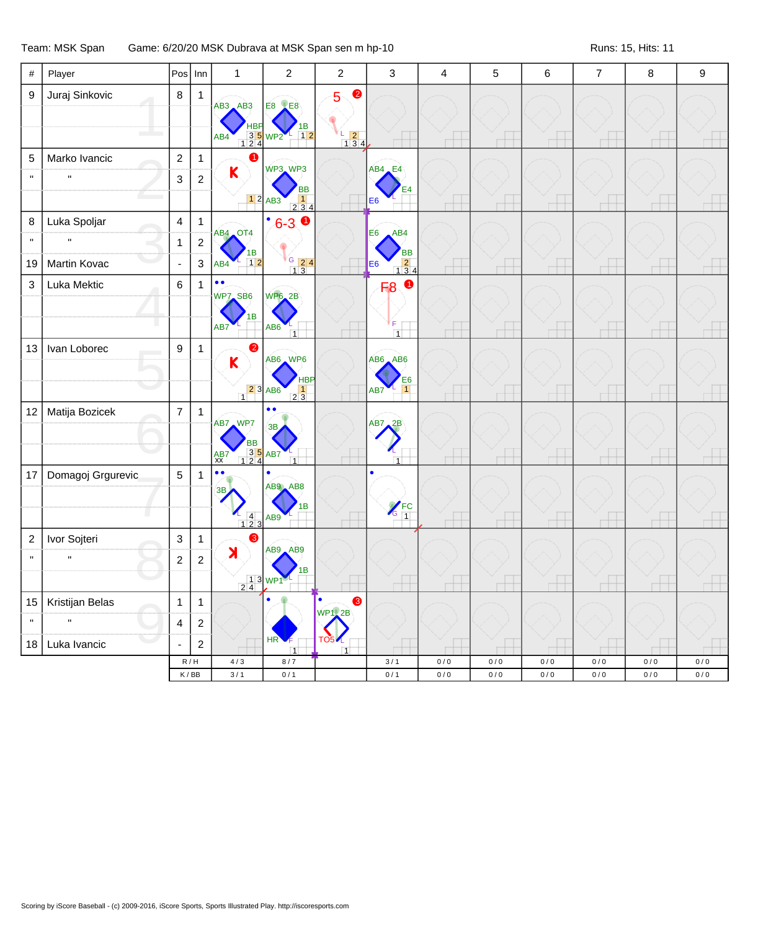## Team: MSK Span Game: 6/20/20 MSK Dubrava at MSK Span sen m hp-10 Runs: 15, Hits: 11 Runs: 15, Hits: 11

| $\#$             | Player            | Pos             | Inn                         | $\mathbf{1}$                                                                                        | $\boldsymbol{2}$                                                   | $\overline{c}$                                                                | 3                                                                                          | $\overline{\mathbf{4}}$ | 5     | $\,6$ | $\overline{7}$ | $\bf 8$ | $\boldsymbol{9}$ |
|------------------|-------------------|-----------------|-----------------------------|-----------------------------------------------------------------------------------------------------|--------------------------------------------------------------------|-------------------------------------------------------------------------------|--------------------------------------------------------------------------------------------|-------------------------|-------|-------|----------------|---------|------------------|
| $\boldsymbol{9}$ | Juraj Sinkovic    | 8               | $\mathbf{1}$                | $AB3$ $AB3$<br>HВ<br>AB4                                                                            | <b>E8 LE8</b><br>ΙB<br>3 5 WP2<br>$1$ 12                           | $\bullet$<br>5<br>L<br>$\begin{array}{ c c }\n\hline\n1 & 3 & 4\n\end{array}$ |                                                                                            |                         |       |       |                |         |                  |
| $\mathbf 5$      | Marko Ivancic     | $\overline{2}$  | $\mathbf{1}$                |                                                                                                     |                                                                    |                                                                               |                                                                                            |                         |       |       |                |         |                  |
| $\mathbf{H}$     | $\mathbf{H}$      | 3               | $\overline{2}$              | $\mathsf K$                                                                                         | WP3 WP3                                                            |                                                                               | $AB4$ , E4                                                                                 |                         |       |       |                |         |                  |
|                  |                   |                 |                             |                                                                                                     | <b>BB</b><br>$12$ AB3<br>234                                       |                                                                               | E <sub>4</sub><br>E <sub>6</sub>                                                           |                         |       |       |                |         |                  |
| $\bf 8$          | Luka Spoljar      | $\overline{4}$  | $\mathbf{1}$                |                                                                                                     | $^{\bullet}6-3$ 0                                                  |                                                                               |                                                                                            |                         |       |       |                |         |                  |
| $\mathbf{u}$     | $\mathbf{u}$      | $\mathbf{1}$    | $\overline{\mathbf{c}}$     | AB4 OT4                                                                                             |                                                                    |                                                                               | E <sub>6</sub><br>AB4                                                                      |                         |       |       |                |         |                  |
| 19               | Martin Kovac      | $\blacksquare$  | 3                           | 1В<br>$\boxed{1 2}$<br>AB4                                                                          | $\begin{array}{c c}\nG & 24 \\ \hline\n13\n\end{array}$            |                                                                               | <b>BB</b><br>$\begin{array}{ c c }\n\hline\n2 & 4 \\ \hline\n1 & 3 & 4\n\end{array}$<br>E6 |                         |       |       |                |         |                  |
| $\mathsf 3$      | Luka Mektic       | $\,6\,$         | $\mathbf{1}$                | $\bullet$<br>$\bullet$                                                                              |                                                                    |                                                                               | $\bullet$<br>F <sub>8</sub>                                                                |                         |       |       |                |         |                  |
|                  |                   |                 |                             | WP7 SB6<br>1B<br>AB7                                                                                | <b>WP6_2B</b><br>AB <sub>6</sub><br>$\overline{1}$                 |                                                                               | F<br>$\vert$ 1                                                                             |                         |       |       |                |         |                  |
| 13               | Ivan Loborec      | 9               | $\mathbf{1}$                | 2<br>$\overline{\mathsf{K}}$<br>$\begin{array}{ c c }\n\hline\n2 & 3 \\ \hline\n1 & 8\n\end{array}$ | AB6 WP6<br><b>HBP</b><br>$\begin{array}{c} 1 \\ 2 \ 3 \end{array}$ |                                                                               | AB6 AB6<br>E6<br>$\overline{1}$<br>AB7                                                     |                         |       |       |                |         |                  |
| 12               | Matija Bozicek    | $\overline{7}$  | $\mathbf{1}$                | AB7 WP7<br>BB<br>35<br>124<br>AB7<br>$AB7$<br>$XX$                                                  | $\bullet$<br>3B<br>$\overline{1}$                                  |                                                                               | AB7, 2B<br>$\overline{1}$                                                                  |                         |       |       |                |         |                  |
| 17               | Domagoj Grgurevic | $5\overline{)}$ | $\mathbf{1}$                | $\bullet$<br>$\bullet$<br>3B<br>$\begin{array}{cc} 4 \\ 1 \ 2 \ 3 \end{array}$                      | ٠<br>AB9 AB8<br>в<br>AB <sub>9</sub>                               |                                                                               | $\bullet$<br>$\sqrt{\frac{FC}{1}}$                                                         |                         |       |       |                |         |                  |
| $\overline{c}$   | Ivor Sojteri      | $\mathbf{3}$    | $\mathbf{1}$                | ❸                                                                                                   |                                                                    |                                                                               |                                                                                            |                         |       |       |                |         |                  |
| $\mathbf{H}$     | $\mathbf{H}$      | $\overline{c}$  | $\overline{2}$              | $\blacktriangleright$                                                                               | AB9 AB9                                                            |                                                                               |                                                                                            |                         |       |       |                |         |                  |
|                  |                   |                 |                             |                                                                                                     | 1B<br>$\frac{1}{2}$ $\frac{3}{4}$ WP1                              |                                                                               |                                                                                            |                         |       |       |                |         |                  |
| 15               | Kristijan Belas   | $\mathbf{1}$    | $\mathbf{1}$                |                                                                                                     |                                                                    | l e<br>❸                                                                      |                                                                                            |                         |       |       |                |         |                  |
| $\mathbf{H}$     | $\mathbf{u}$      | $\overline{4}$  | $\overline{c}$              |                                                                                                     |                                                                    | <b>WP1</b> , 2B                                                               |                                                                                            |                         |       |       |                |         |                  |
| 18               | Luka Ivancic      | ÷,              | $\overline{c}$              |                                                                                                     | HR <sup></sup><br>$\overline{1}$                                   | <b>TO54</b><br>$\overline{1}$                                                 |                                                                                            |                         |       |       |                |         |                  |
|                  |                   |                 | R/H                         | $4/3$                                                                                               | $8/7$                                                              |                                                                               | 3/1                                                                                        | $0/0$                   | 0/0   | $0/0$ | 0/0            | 0/0     | $0/0$            |
|                  |                   |                 | $\mathsf K\,/\,\mathsf{BB}$ | 3/1                                                                                                 | 0/1                                                                |                                                                               | 0/1                                                                                        | $0\,/\,0$               | $0/0$ | 0/0   | 0/0            | $0/0$   | $0/0$            |